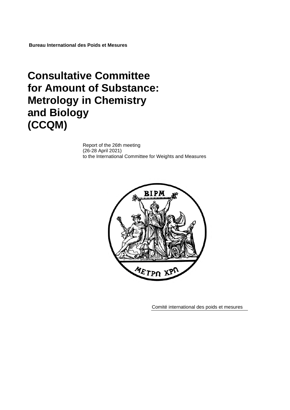**Bureau International des Poids et Mesures**

# **Consultative Committee for Amount of Substance: Metrology in Chemistry and Biology (CCQM)**

Report of the 26th meeting (26-28 April 2021) to the International Committee for Weights and Measures



Comité international des poids et mesures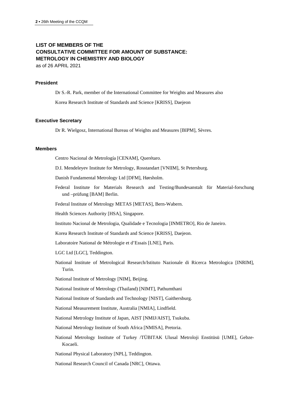## **LIST OF MEMBERS OF THE CONSULTATIVE COMMITTEE FOR AMOUNT OF SUBSTANCE: METROLOGY IN CHEMISTRY AND BIOLOGY**

as of 26 APRIL 2021

#### **President**

Dr S.-R. Park, member of the International Committee for Weights and Measures also

Korea Research Institute of Standards and Science [KRISS], Daejeon

#### **Executive Secretary**

Dr R. Wielgosz, International Bureau of Weights and Measures [BIPM], Sèvres.

#### **Members**

Centro Nacional de Metrología [CENAM], Querétaro.

D.I. Mendeleyev Institute for Metrology, Rosstandart [VNIIM], St Petersburg.

Danish Fundamental Metrology Ltd [DFM], Hørsholm.

Federal Institute for Materials Research and Testing/Bundesanstalt für Material-forschung und –prüfung [BAM] Berlin.

Federal Institute of Metrology METAS [METAS], Bern-Wabern.

Health Sciences Authority [HSA], Singapore.

Instituto Nacional de Metrologia, Qualidade e Tecnologia [INMETRO], Rio de Janeiro.

Korea Research Institute of Standards and Science [KRISS], Daejeon.

Laboratoire National de Métrologie et d'Essais [LNE], Paris.

LGC Ltd [LGC], Teddington.

National Institute of Metrological Research/Istituto Nazionale di Ricerca Metrologica [INRIM], Turin.

National Institute of Metrology [NIM], Beijing.

National Institute of Metrology (Thailand) [NIMT], Pathumthani

National Institute of Standards and Technology [NIST], Gaithersburg.

National Measurement Institute, Australia [NMIA], Lindfield.

National Metrology Institute of Japan, AIST [NMIJ/AIST], Tsukuba.

National Metrology Institute of South Africa [NMISA], Pretoria.

National Metrology Institute of Turkey /TÜBITAK Ulusal Metroloji Enstitüsü [UME], Gebze-Kocaeli.

National Physical Laboratory [NPL], Teddington.

National Research Council of Canada [NRC], Ottawa.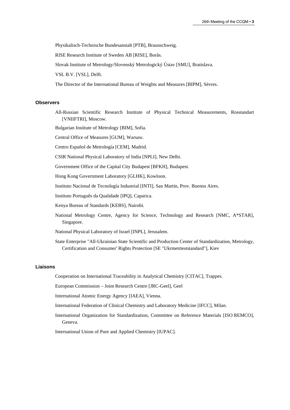Physikalisch-Technische Bundesanstalt [PTB], Braunschweig.

RISE Research Institute of Sweden AB [RISE], Borås.

Slovak Institute of Metrology/Slovenský Metrologický Ústav [SMU], Bratislava.

VSL B.V. [VSL], Delft.

The Director of the International Bureau of Weights and Measures [BIPM], Sèvres.

#### **Observers**

All-Russian Scientific Research Institute of Physical Technical Measurements, Rosstandart [\[VNIIFTRI\]](http://www.vniiftri.ru/), Moscow.

Bulgarian Institute of Metrology [BIM], Sofia.

Central Office of Measures [GUM], Warsaw.

Centro Español de Metrología [CEM], Madrid.

CSIR National Physical Laboratory of India [NPLI], New Delhi.

Government Office of the Capital City Budapest [BFKH], Budapest.

Hong Kong Government Laboratory [GLHK], Kowloon.

Instituto Nacional de Tecnología Industrial [\[INTI\]](http://www.inti.gob.ar/), San Martín, Prov. Buenos Aires.

Instituto Português da Qualidade [IPQ], Caparica.

Kenya Bureau of Standards [KEBS], Nairobi.

National Metrology Centre, Agency for Science, Technology and Research [NMC, A\*STAR], Singapore.

National Physical Laboratory of Israel [INPL], Jerusalem.

State Enterprise "All-Ukrainian State Scientific and Production Center of Standardization, Metrology, Certification and Consumer' Rights Protection [\[SE "Ukrmetrteststandard"\]](http://www.ukrcsm.kiev.ua/), Kiev

#### **Liaisons**

Cooperation on International Traceability in Analytical Chemistry [CITAC], Trappes.

European Commission – Joint Research Centre [JRC-Geel], Geel

International Atomic Energy Agency [IAEA], Vienna.

International Federation of Clinical Chemistry and Laboratory Medicine [IFCC], Milan.

International Organization for Standardization, Committee on Reference Materials [ISO REMCO], Geneva.

International Union of Pure and Applied Chemistry [IUPAC].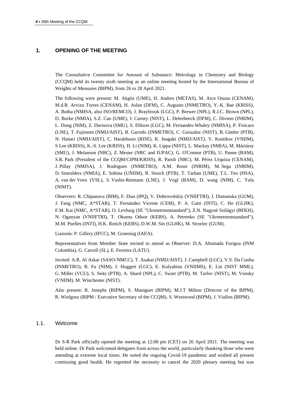## **1. OPENING OF THE MEETING**

The Consultative Committee for Amount of Substance: Metrology in Chemistry and Biology (CCQM) held its twenty sixth meeting as an online meeting hosted by the International Bureau of Weights of Measures (BIPM), from 26 to 28 April 2021.

The following were present: M. Akgöz (UME), H. Andres (METAS), M. Arce Osuna (CENAM), M.d.R. Arvizu Torres (CENAM), H. Aslan (DFM), C. Augusto (INMETRO), Y.-K. Bae (KRISS), A. Botha (NMISA, also ISO/REMCO), J. Braybrook (LGC), P. Brewer (NPL), R.J.C. Brown (NPL), D. Burke (NMIA), S.Z. Can (UME), J. Carney (NIST), L. Deleebeeck (DFM), C. Divieto (INRIM), L. Dong (NIM), Z. Durisova (SMU), S. Ellison (LGC), M. Fernandes-Whaley (NMISA), P. Fisicaro (LNE), T. Fujimoto (NMIJ/AIST), B. Garrido (INMETRO), C. Gonzalez (NIST), B. Güttler (PTB), N. Hanari (NMIJ/AIST), C. Haraldsson (RISE), K. Inagaki (NMIJ/AIST), Y. Kustikov (VNIIM), S Lee (KRISS), K.-S. Lee (KRISS), H. Li (NIM), K. Lippa (NIST), L. Mackay (NMIA), M. Máriássy (SMU), J. Melanson (NRC), Z. Mester (NRC and IUPAC), G. O'Connor (PTB), U. Panne (BAM), S.R. Park (President of the CCQM/CIPM/KRISS), R. Paroli (NRC), M. Pérez Urquiza (CENAM), J. Pillay (NMISA), J. Rodrigues (INMETRO), A.M. Rossi (INRIM), M. Sega (INRIM), D. Smeulders (NMIA), E. Sobina (UNIIM), R. Stosch (PTB), T. Tarhan (UME), T.L. Teo (HSA), A. van der Veen (VSL), S. Vaslin-Reimann (LNE), J. Vogl (BAM), D. wang (NIM), C. Yafa (NIMT).

Observers: R. Chipanova (BIM), F. Dias (IPQ), V. Dobrovolskiy (VNIIFTRI), J. Dumanska (GUM), J. Fang (NMC, A\*STAR), T. Fernández Vicente (CEM), P. A. Gatti (INTI), C. Ho (GLHK), F.M. Kai (NMC, A\*STAR), O. Levbarg (SE "Ukrmetrteststandard"), Z.N. Nagyné Szilágyi (BFKH), N. Oganyan (VNIIFTRI), T. Okumu Oduor (KEBS), A. Petrenko (SE "Ukrmetrteststandard"), M.M. Puelles (INTI), H.K. Rotich (KEBS), D.W.M. Sin (GLHK), M. Strzelec (GUM).

Liaisons: P. Gillery (IFCC), M. Groening (IAEA).

Representatives from Member State invited to attend as Observer: D.A. Ahumada Forigua (INM Colombia), G. Carroll (SL), E. Ferreira (LATU).

Invited: A.R. Al Askar (SASO-NMCC), T. Asakai (NMIJ/AIST), J. Campbell (LGC), V.S. Da Cunha (INMETRO), B. Fu (NIM), J. Huggett (LGC), E. Kulyabina (VNIIMS), E. Lin (NIST MML), G. Miller (VCU), S. Seitz (PTB), A. Shard (NPL), C. Swart (PTB), M. Tarlov (NIST), M. Vonsky (VNIIM), M. Winchester (NIST).

Also present: R. Josephs (BIPM), S. Maniguet (BIPM), M.J.T Milton (Director of the BIPM), R. Wielgosz (BIPM / Executive Secretary of the CCQM), S. Westwood (BIPM), J. Viallon (BIPM).

## 1.1. Welcome

Dr S-R Park officially opened the meeting at 12:00 pm (CET) on 26 April 2021. The meeting was held online. Dr Park welcomed delegates from across the world, particularly thanking those who were attending at extreme local times. He noted the ongoing Covid-19 pandemic and wished all present continuing good health. He regretted the necessity to cancel the 2020 plenary meeting but was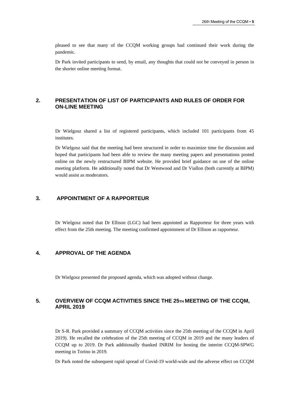pleased to see that many of the CCQM working groups had continued their work during the pandemic.

Dr Park invited participants to send, by email, any thoughts that could not be conveyed in person in the shorter online meeting format.

## **2. PRESENTATION OF LIST OF PARTICIPANTS AND RULES OF ORDER FOR ON-LINE MEETING**

Dr Wielgosz shared a list of registered participants, which included 101 participants from 45 institutes.

Dr Wielgosz said that the meeting had been structured in order to maximize time for discussion and hoped that participants had been able to review the many meeting papers and presentations posted online on the newly restructured BIPM website. He provided brief guidance on use of the online meeting platform. He additionally noted that Dr Westwood and Dr Viallon (both currently at BIPM) would assist as moderators.

## **3. APPOINTMENT OF A RAPPORTEUR**

Dr Wielgosz noted that Dr Ellison (LGC) had been appointed as Rapporteur for three years with effect from the 25th meeting. The meeting confirmed appointment of Dr Ellison as rapporteur.

## **4. APPROVAL OF THE AGENDA**

Dr Wielgosz presented the proposed agenda, which was adopted without change.

## **5. OVERVIEW OF CCQM ACTIVITIES SINCE THE 25TH MEETING OF THE CCQM, APRIL 2019**

Dr S-R. Park provided a summary of CCQM activities since the 25th meeting of the CCQM in April 2019). He recalled the celebration of the 25th meeting of CCQM in 2019 and the many leaders of CCQM up to 2019. Dr Park additionally thanked INRIM for hosting the interim CCQM-SPWG meeting in Torino in 2019.

Dr Park noted the subsequent rapid spread of Covid-19 world-wide and the adverse effect on CCQM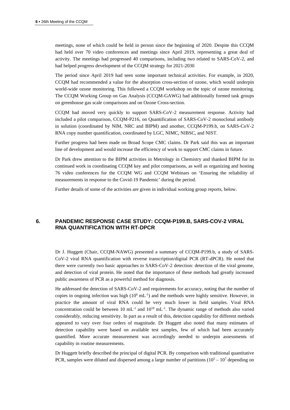meetings, none of which could be held in person since the beginning of 2020. Despite this CCQM had held over 70 video conferences and meetings since April 2019, representing a great deal of activity. The meetings had progressed 40 comparisons, including two related to SARS-CoV-2, and had helped progress development of the CCQM strategy for 2021-2030

The period since April 2019 had seen some important technical activities. For example, in 2020, CCQM had recommended a value for the absorption cross-section of ozone, which would underpin world-wide ozone monitoring. This followed a CCQM workshop on the topic of ozone monitoring. The CCQM Working Group on Gas Analysis (CCQM-GAWG) had additionally formed task groups on greenhouse gas scale comparisons and on Ozone Cross-section.

CCQM had moved very quickly to support SARS-CoV-2 measurement response. Activity had included a pilot comparison, CCQM-P216, on Quantification of SARS-CoV-2 monoclonal antibody in solution (coordinated by NIM, NRC and BIPM) and another, CCQM-P199.b, on SARS-CoV-2 RNA copy number quantification, coordinated by LGC, NIMC, NIBSC, and NIST.

Further progress had been made on Broad Scope CMC claims. Dr Park said this was an important line of development and would increase the efficiency of work to support CMC claims in future.

Dr Park drew attention to the BIPM activities in Metrology in Chemistry and thanked BIPM for its continued work in coordinating CCQM key and pilot comparisons, as well as organizing and hosting 76 video conferences for the CCQM WG and CCQM Webinars on 'Ensuring the reliability of measurements in response to the Covid-19 Pandemic' during the period.

Further details of some of the activities are given in individual working group reports, below.

## **6. PANDEMIC RESPONSE CASE STUDY: CCQM-P199.B, SARS-COV-2 VIRAL RNA QUANTIFICATION WITH RT-DPCR**

Dr J. Huggett (Chair, CCQM-NAWG) presented a summary of CCQM-P199.b, a study of SARS-CoV-2 viral RNA quantification with reverse transcription/digital PCR (RT-dPCR). He noted that there were currently two basic approaches to SARS-CoV-2 detection: detection of the viral genome, and detection of viral protein. He noted that the importance of these methods had greatly increased public awareness of PCR as a powerful method for diagnosis.

He addressed the detection of SARS-CoV-2 and requirements for accuracy, noting that the number of copies in ongoing infection was high  $(10^6 \text{ mL}^{-1})$  and the methods were highly sensitive. However, in practice the amount of viral RNA could be very much lower in field samples. Viral RNA concentration could be between 10  $mL^{-1}$  and  $10^{10}$   $mL^{-1}$ . The dynamic range of methods also varied considerably, reducing sensitivity. In part as a result of this, detection capability for different methods appeared to vary over four orders of magnitude. Dr Huggett also noted that many estimates of detection capability were based on available test samples, few of which had been accurately quantified. More accurate measurement was accordingly needed to underpin assessments of capability in routine measurements.

Dr Huggett briefly described the principal of digital PCR. By comparison with traditional quantitative PCR, samples were diluted and dispersed among a large number of partitions  $(10^5 - 10^7$  depending on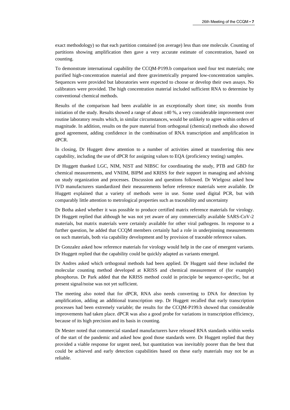exact methodology) so that each partition contained (on average) less than one molecule. Counting of partitions showing amplification then gave a very accurate estimate of concentration, based on counting.

To demonstrate international capability the CCQM-P199.b comparison used four test materials; one purified high-concentration material and three gravimetrically prepared low-concentration samples. Sequences were provided but laboratories were expected to choose or develop their own assays. No calibrators were provided. The high concentration material included sufficient RNA to determine by conventional chemical methods.

Results of the comparison had been available in an exceptionally short time; six months from initiation of the study. Results showed a range of about ±40 %, a very considerable improvement over routine laboratory results which, in similar circumstances, would be unlikely to agree within orders of magnitude. In addition, results on the pure material from orthogonal (chemical) methods also showed good agreement, adding confidence in the combination of RNA transcription and amplification in dPCR.

In closing, Dr Huggett drew attention to a number of activities aimed at transferring this new capability, including the use of dPCR for assigning values to EQA (proficiency testing) samples.

Dr Huggett thanked LGC, NIM, NIST and NIBSC for coordinating the study, PTB and GBD for chemical measurements, and VNIIM, BIPM and KRISS for their support in managing and advising on study organization and processes. Discussion and questions followed. Dr Wielgosz asked how IVD manufacturers standardized their measurements before reference materials were available. Dr Huggett explained that a variety of methods were in use. Some used digital PCR, but with comparably little attention to metrological properties such as traceability and uncertainty

Dr Botha asked whether it was possible to produce certified matrix reference materials for virology. Dr Huggett replied that although he was not yet aware of any commercially available SARS-CoV-2 materials, but matrix materials were certainly available for other viral pathogens. In response to a further question, he added that CCQM members certainly had a role in underpinning measurements on such materials, both via capability development and by provision of traceable reference values.

Dr Gonzalez asked how reference materials for virology would help in the case of emergent variants. Dr Huggett replied that the capability could be quickly adapted as variants emerged.

Dr Andres asked which orthogonal methods had been applied. Dr Huggett said these included the molecular counting method developed at KRISS and chemical measurement of (for example) phosphorus. Dr Park added that the KRISS method could in principle be sequence-specific, but at present signal/noise was not yet sufficient.

The meeting also noted that for dPCR, RNA also needs converting to DNA for detection by amplification, adding an additional transcription step. Dr Huggett recalled that early transcription processes had been extremely variable; the results for the CCQM-P199.b showed that considerable improvements had taken place. dPCR was also a good probe for variations in transcription efficiency, because of its high precision and its basis in counting.

Dr Mester noted that commercial standard manufacturers have released RNA standards within weeks of the start of the pandemic and asked how good those standards were. Dr Huggett replied that they provided a viable response for urgent need, but quantitation was inevitably poorer than the best that could be achieved and early detection capabilities based on these early materials may not be as reliable.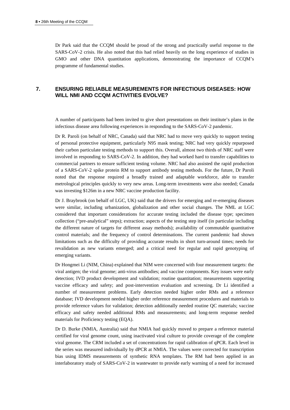Dr Park said that the CCQM should be proud of the strong and practically useful response to the SARS-CoV-2 crisis. He also noted that this had relied heavily on the long experience of studies in GMO and other DNA quantitation applications, demonstrating the importance of CCQM's programme of fundamental studies.

## **7. ENSURING RELIABLE MEASUREMENTS FOR INFECTIOUS DISEASES: HOW WILL NMI AND CCQM ACTIVITIES EVOLVE?**

A number of participants had been invited to give short presentations on their institute's plans in the infectious disease area following experiences in responding to the SARS-CoV-2 pandemic.

Dr R. Paroli (on behalf of NRC, Canada) said that NRC had to move very quickly to support testing of personal protective equipment, particularly N95 mask testing; NRC had very quickly repurposed their carbon particulate testing methods to support this. Overall, almost two thirds of NRC staff were involved in responding to SARS-CoV-2. In addition, they had worked hard to transfer capabilities to commercial partners to ensure sufficient testing volume. NRC had also assisted the rapid production of a SARS-CoV-2 spike protein RM to support antibody testing methods. For the future, Dr Paroli noted that the response required a broadly trained and adaptable workforce, able to transfer metrological principles quickly to very new areas. Long-term investments were also needed; Canada was investing \$126m in a new NRC vaccine production facility.

Dr J. Braybrook (on behalf of LGC, UK) said that the drivers for emerging and re-emerging diseases were similar, including urbanization, globalization and other social changes. The NML at LGC considered that important considerations for accurate testing included the disease type; specimen collection ("pre-analytical" steps); extraction; aspects of the testing step itself (in particular including the different nature of targets for different assay methods); availability of commutable quantitative control materials; and the frequency of control determinations. The current pandemic had shown limitations such as the difficulty of providing accurate results in short turn-around times; needs for revalidation as new variants emerged; and a critical need for regular and rapid genotyping of emerging variants.

Dr Hongmei Li (NIM, China) explained that NIM were concerned with four measurement targets: the viral antigen; the viral genome; anti-virus antibodies; and vaccine components. Key issues were early detection; IVD product development and validation; routine quantitation; measurements supporting vaccine efficacy and safety; and post-intervention evaluation and screening. Dr Li identified a number of measurement problems. Early detection needed higher order RMs and a reference database; IVD development needed higher order reference measurement procedures and materials to provide reference values for validation; detection additionally needed routine QC materials; vaccine efficacy and safety needed additional RMs and measurements; and long-term response needed materials for Proficiency testing (EQA).

Dr D. Burke (NMIA, Australia) said that NMIA had quickly moved to prepare a reference material certified for viral genome count, using inactivated viral culture to provide coverage of the complete viral genome. The CRM included a set of concentrations for rapid calibration of qPCR. Each level in the series was measured individually by dPCR at NMIA. The values were corrected for transcription bias using IDMS measurements of synthetic RNA templates. The RM had been applied in an interlaboratory study of SARS-CoV-2 in wastewater to provide early warning of a need for increased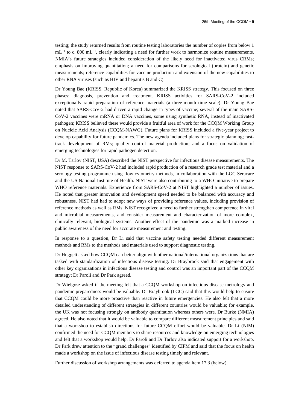testing; the study returned results from routine testing laboratories the number of copies from below 1 mL<sup>-1</sup> to c. 800 mL<sup>-1</sup>, clearly indicating a need for further work to harmonize routine measurements. NMIA's future strategies included consideration of the likely need for inactivated virus CRMs; emphasis on improving quantitation; a need for comparisons for serological (protein) and genetic measurements; reference capabilities for vaccine production and extension of the new capabilities to other RNA viruses (such as HIV and hepatitis B and C).

Dr Young Bae (KRISS, Republic of Korea) summarized the KRISS strategy. This focused on three phases: diagnosis, prevention and treatment. KRISS activities for SARS-CoV-2 included exceptionally rapid preparation of reference materials (a three-month time scale). Dr Young Bae noted that SARS-CoV-2 had driven a rapid change in types of vaccine; several of the main SARS-CoV-2 vaccines were mRNA or DNA vaccines, some using synthetic RNA, instead of inactivated pathogen; KRISS believed these would provide a fruitful area of work for the CCQM Working Group on Nucleic Acid Analysis (CCQM-NAWG). Future plans for KRISS included a five-year project to develop capability for future pandemics. The new agenda included plans for strategic planning; fasttrack development of RMs; quality control material production; and a focus on validation of emerging technologies for rapid pathogen detection.

Dr M. Tarlov (NIST, USA) described the NIST perspective for infectious disease measurements. The NIST response to SARS-CoV-2 had included rapid production of a research grade test material and a serology testing programme using flow cytometry methods, in collaboration with the LGC Seracare and the US National Institute of Health. NIST were also contributing to a WHO initiative to prepare WHO reference materials. Experience from SARS-CoV-2 at NIST highlighted a number of issues. He noted that greater innovation and development speed needed to be balanced with accuracy and robustness. NIST had had to adopt new ways of providing reference values, including provision of reference methods as well as RMs. NIST recognized a need to further strengthen competence in viral and microbial measurements, and consider measurement and characterization of more complex, clinically relevant, biological systems. Another effect of the pandemic was a marked increase in public awareness of the need for accurate measurement and testing.

In response to a question, Dr Li said that vaccine safety testing needed different measurement methods and RMs to the methods and materials used to support diagnostic testing.

Dr Huggett asked how CCQM can better align with other national/international organizations that are tasked with standardization of infectious disease testing. Dr Braybrook said that engagement with other key organizations in infectious disease testing and control was an important part of the CCQM strategy; Dr Paroli and Dr Park agreed.

Dr Wielgosz asked if the meeting felt that a CCQM workshop on infectious disease metrology and pandemic preparedness would be valuable. Dr Braybrook (LGC) said that this would help to ensure that CCQM could be more proactive than reactive in future emergencies. He also felt that a more detailed understanding of different strategies in different countries would be valuable; for example, the UK was not focusing strongly on antibody quantitation whereas others were. Dr Burke (NMIA) agreed. He also noted that it would be valuable to compare different measurement principles and said that a workshop to establish directions for future CCQM effort would be valuable. Dr Li (NIM) confirmed the need for CCQM members to share resources and knowledge on emerging technologies and felt that a workshop would help. Dr Paroli and Dr Tarlov also indicated support for a workshop. Dr Park drew attention to the "grand challenges" identified by CIPM and said that the focus on health made a workshop on the issue of infectious disease testing timely and relevant.

Further discussion of workshop arrangements was deferred to agenda item 17.3 (below).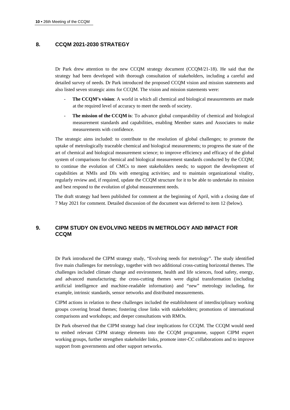## **8. CCQM 2021-2030 STRATEGY**

Dr Park drew attention to the new CCQM strategy document (CCQM/21-18). He said that the strategy had been developed with thorough consultation of stakeholders, including a careful and detailed survey of needs. Dr Park introduced the proposed CCQM vision and mission statements and also listed seven strategic aims for CCQM. The vision and mission statements were:

- **The CCQM's vision:** A world in which all chemical and biological measurements are made at the required level of accuracy to meet the needs of society.
- **The mission of the CCQM is**: To advance global comparability of chemical and biological measurement standards and capabilities, enabling Member states and Associates to make measurements with confidence.

The strategic aims included: to contribute to the resolution of global challenges; to promote the uptake of metrologically traceable chemical and biological measurements; to progress the state of the art of chemical and biological measurement science; to improve efficiency and efficacy of the global system of comparisons for chemical and biological measurement standards conducted by the CCQM; to continue the evolution of CMCs to meet stakeholders needs; to support the development of capabilities at NMIs and DIs with emerging activities; and to maintain organizational vitality, regularly review and, if required, update the CCQM structure for it to be able to undertake its mission and best respond to the evolution of global measurement needs.

The draft strategy had been published for comment at the beginning of April, with a closing date of 7 May 2021 for comment. Detailed discussion of the document was deferred to item 12 (below).

## **9. CIPM STUDY ON EVOLVING NEEDS IN METROLOGY AND IMPACT FOR CCQM**

Dr Park introduced the CIPM strategy study, "Evolving needs for metrology". The study identified five main challenges for metrology, together with two additional cross-cutting horizontal themes. The challenges included climate change and environment, health and life sciences, food safety, energy, and advanced manufacturing; the cross-cutting themes were digital transformation (including artificial intelligence and machine-readable information) and "new" metrology including, for example, intrinsic standards, sensor networks and distributed measurements.

CIPM actions in relation to these challenges included the establishment of interdisciplinary working groups covering broad themes; fostering close links with stakeholders; promotions of international comparisons and workshops; and deeper consultations with RMOs.

Dr Park observed that the CIPM strategy had clear implications for CCQM. The CCQM would need to embed relevant CIPM strategy elements into the CCQM programme, support CIPM expert working groups, further strengthen stakeholder links, promote inter-CC collaborations and to improve support from governments and other support networks.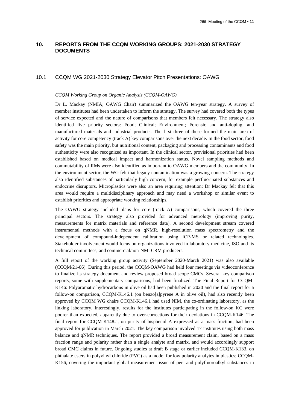## **10. REPORTS FROM THE CCQM WORKING GROUPS: 2021-2030 STRATEGY DOCUMENTS**

### 10.1. CCQM WG 2021-2030 Strategy Elevator Pitch Presentations: OAWG

#### *CCQM Working Group on Organic Analysis (CCQM-OAWG)*

Dr L. Mackay (NMIA; OAWG Chair) summarized the OAWG ten-year strategy. A survey of member institutes had been undertaken to inform the strategy. The survey had covered both the types of service expected and the nature of comparisons that members felt necessary. The strategy also identified five priority sectors: Food; Clinical; Environment; Forensic and anti-doping; and manufactured materials and industrial products. The first three of these formed the main area of activity for core competency (track A) key comparisons over the next decade. In the food sector, food safety was the main priority, but nutritional content, packaging and processing contaminants and food authenticity were also recognized as important. In the clinical sector, provisional priorities had been established based on medical impact and harmonization status. Novel sampling methods and commutability of RMs were also identified as important to OAWG members and the community. In the environment sector, the WG felt that legacy contamination was a growing concern. The strategy also identified substances of particularly high concern, for example perfluorinated substances and endocrine disruptors. Microplastics were also an area requiring attention; Dr Mackay felt that this area would require a multidisciplinary approach and may need a workshop or similar event to establish priorities and appropriate working relationships.

The OAWG strategy included plans for core (track A) comparisons, which covered the three principal sectors. The strategy also provided for advanced metrology (improving purity, measurements for matrix materials and reference data). A second development stream covered instrumental methods with a focus on qNMR, high-resolution mass spectrometry and the development of compound-independent calibration using ICP-MS or related technologies. Stakeholder involvement would focus on organizations involved in laboratory medicine, ISO and its technical committees, and commercial/non-NMI CRM producers.

A full report of the working group activity (September 2020-March 2021) was also available (CCQM/21-06). During this period, the CCQM-OAWG had held four meetings via videoconference to finalize its strategy document and review proposed broad scope CMCs. Several key comparison reports, some with supplementary comparisons, had been finalized. The Final Report for CCQM-K146: Polyaromatic hydrocarbons in olive oil had been published in 2020 and the final report for a follow-on comparison, CCQM-K146.1 (on benzo[a]pyrene A in olive oil), had also recently been approved by CCQM WG chairs CCQM-K146.1 had used NIM, the co-ordinating laboratory, as the linking laboratory. Interestingly, results for the institutes participating in the follow-on KC were poorer than expected, apparently due to over-corrections for their deviations in CCQM-K146. The final report for CCQM-K148.a, on purity of bisphenol A expressed as a mass fraction, had been approved for publication in March 2021. The key comparison involved 17 institutes using both mass balance and qNMR techniques. The report provided a broad measurement claim, based on a mass fraction range and polarity rather than a single analyte and matrix, and would accordingly support broad CMC claims in future. Ongoing studies at draft B stage or earlier included CCQM-K133, on phthalate esters in polyvinyl chloride (PVC) as a model for low polarity analytes in plastics; CCQM-K156, covering the important global measurement issue of per- and polyfluoroalkyl substances in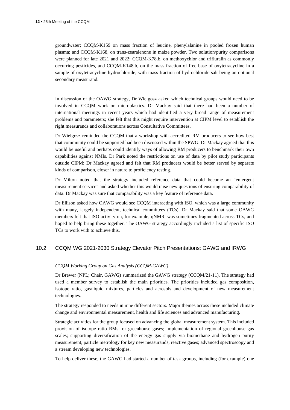groundwater; CCQM-K159 on mass fraction of leucine, phenylalanine in pooled frozen human plasma; and CCQM-K168, on trans-zearalenone in maize powder. Two solution/purity comparisons were planned for late 2021 and 2022: CCQM-K78.b, on methoxychlor and trifluralin as commonly occurring pesticides, and CCQM-K148.b, on the mass fraction of free base of oxytetracycline in a sample of oxytetracycline hydrochloride, with mass fraction of hydrochloride salt being an optional secondary measurand.

In discussion of the OAWG strategy, Dr Wielgosz asked which technical groups would need to be involved in CCQM work on microplastics. Dr Mackay said that there had been a number of international meetings in recent years which had identified a very broad range of measurement problems and parameters; she felt that this might require intervention at CIPM level to establish the right measurands and collaborations across Consultative Committees.

Dr Wielgosz reminded the CCQM that a workshop with accredited RM producers to see how best that community could be supported had been discussed within the SPWG. Dr Mackay agreed that this would be useful and perhaps could identify ways of allowing RM producers to benchmark their own capabilities against NMIs. Dr Park noted the restrictions on use of data by pilot study participants outside CIPM; Dr Mackay agreed and felt that RM producers would be better served by separate kinds of comparison, closer in nature to proficiency testing.

Dr Milton noted that the strategy included reference data that could become an "emergent measurement service" and asked whether this would raise new questions of ensuring comparability of data. Dr Mackay was sure that comparability was a key feature of reference data.

Dr Ellison asked how OAWG would see CCQM interacting with ISO, which was a large community with many, largely independent, technical committees (TCs). Dr Mackay said that some OAWG members felt that ISO activity on, for example, qNMR, was sometimes fragmented across TCs, and hoped to help bring these together. The OAWG strategy accordingly included a list of specific ISO TCs to work with to achieve this.

## 10.2. CCQM WG 2021-2030 Strategy Elevator Pitch Presentations: GAWG and IRWG

#### *CCQM Working Group on Gas Analysis (CCQM-GAWG)*

Dr Brewer (NPL; Chair, GAWG) summarized the GAWG strategy (CCQM/21-11). The strategy had used a member survey to establish the main priorities. The priorities included gas composition, isotope ratio, gas/liquid mixtures, particles and aerosols and development of new measurement technologies.

The strategy responded to needs in nine different sectors. Major themes across these included climate change and environmental measurement, health and life sciences and advanced manufacturing.

Strategic activities for the group focused on advancing the global measurement system. This included provision of isotope ratio RMs for greenhouse gases; implementation of regional greenhouse gas scales; supporting diversification of the energy gas supply via biomethane and hydrogen purity measurement; particle metrology for key new measurands, reactive gases; advanced spectroscopy and a stream developing new technologies.

To help deliver these, the GAWG had started a number of task groups, including (for example) one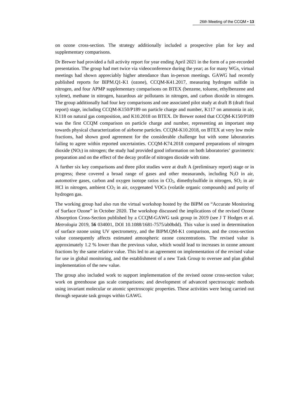on ozone cross-section. The strategy additionally included a prospective plan for key and supplementary comparisons.

Dr Brewer had provided a full activity report for year ending April 2021 in the form of a pre-recorded presentation. The group had met twice via videoconference during the year; as for many WGs, virtual meetings had shown appreciably higher attendance than in-person meetings. GAWG had recently published reports for BIPM.Q1-K1 (ozone), CCQM-K41.2017, measuring hydrogen sulfide in nitrogen, and four APMP supplementary comparisons on BTEX (benzene, toluene, ethylbenzene and xylene), methane in nitrogen, hazardous air pollutants in nitrogen, and carbon dioxide in nitrogen. The group additionally had four key comparisons and one associated pilot study at draft B (draft final report) stage, including CCQM-K150/P189 on particle charge and number, K117 on ammonia in air, K118 on natural gas composition, and K10.2018 on BTEX. Dr Brewer noted that CCQM-K150/P189 was the first CCQM comparison on particle charge and number, representing an important step towards physical characterization of airborne particles. CCQM-K10.2018, on BTEX at very low mole fractions, had shown good agreement for the considerable challenge but with some laboratories failing to agree within reported uncertainties. CCQM-K74.2018 compared preparations of nitrogen dioxide (NO2) in nitrogen; the study had provided good information on both laboratories' gravimetric preparation and on the effect of the decay profile of nitrogen dioxide with time.

A further six key comparisons and three pilot studies were at draft A (preliminary report) stage or in progress; these covered a broad range of gases and other measurands, including  $N_2O$  in air, automotive gases, carbon and oxygen isotope ratios in  $CO<sub>2</sub>$ , dimethylsulfide in nitrogen,  $SO<sub>2</sub>$  in air HCl in nitrogen, ambient CO<sub>2</sub> in air, oxygenated VOCs (volatile organic compounds) and purity of hydrogen gas.

The working group had also run the virtual workshop hosted by the BIPM on "Accurate Monitoring of Surface Ozone" in October 2020. The workshop discussed the implications of the revised Ozone Absorption Cross-Section published by a CCQM-GAWG task group in 2019 (see J T Hodges et al. *Metrologia* 2019, **56** 034001, DOI 10.1088/1681-7575/ab0bdd). This value is used in determination of surface ozone using UV spectrometry, and the BIPM.QM-K1 comparison, and the cross-section value consequently affects estimated atmospheric ozone concentrations. The revised value is approximately 1.2 % lower than the previous value, which would lead to increases in ozone amount fractions by the same relative value. This led to an agreement on implementation of the revised value for use in global monitoring, and the establishment of a new Task Group to oversee and plan global implementation of the new value.

The group also included work to support implementation of the revised ozone cross-section value; work on greenhouse gas scale comparisons; and development of advanced spectroscopic methods using invariant molecular or atomic spectroscopic properties. These activities were being carried out through separate task groups within GAWG.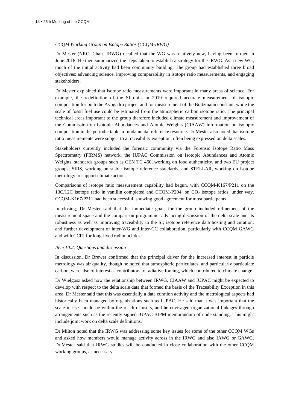#### *CCQM Working Group on Isotope Ratios (CCQM-IRWG)*

Dr Mester (NRC; Chair, IRWG) recalled that the WG was relatively new, having been formed in June 2018. He then summarized the steps taken to establish a strategy for the IRWG. As a new WG, much of the initial activity had been community building. The group had established three broad objectives: advancing science, improving comparability in isotope ratio measurements, and engaging stakeholders.

Dr Mester explained that isotope ratio measurements were important in many areas of science. For example, the redefinition of the SI units in 2019 required accurate measurement of isotopic composition for both the Avogadro project and for measurement of the Boltzmann constant, while the scale of fossil fuel use could be estimated from the atmospheric carbon isotope ratio. The principal technical areas important to the group therefore included climate measurement and improvement of the Commission on Isotopic Abundances and Atomic Weights (CIAAW) information on isotopic composition in the periodic table, a fundamental reference resource. Dr Mester also noted that isotope ratio measurements were subject to a traceability exception, often being expressed on delta scales.

Stakeholders currently included the forensic community via the Forensic Isotope Ratio Mass Spectrometry (FIRMS) network, the IUPAC Commission on Isotopic Abundances and Atomic Weights, standards groups such as CEN TC 460, working on food authenticity, and two EU project groups; SIRS, working on stable isotope reference standards, and STELLAR, working on isotope metrology to support climate action.

Comparisons of isotope ratio measurement capability had begun, with CCQM-K167/P211 on the 13C/12C isotope ratio in vanillin completed and CCQM-P204, on CO2 isotope ratios, under way. CCQM-K167/P211 had been successful, showing good agreement for most participants.

In closing, Dr Mester said that the immediate goals for the group included refinement of the measurement space and the comparison programme; advancing discussion of the delta scale and its robustness as well as improving traceability to the SI; isotope reference data hosting and curation; and further development of inter-WG and inter-CC collaboration, particularly with CCQM GAWG and with CCRI for long-lived radionuclides.

#### *Item 10.2: Questions and discussion*

In discussion, Dr Brewer confirmed that the principal driver for the increased interest in particle metrology was air quality, though he noted that atmospheric particulates, and particularly particulate carbon, were also of interest as contributors to radiative forcing, which contributed to climate change.

Dr Wielgosz asked how the relationship between IRWG, CIAAW and IUPAC might be expected to develop with respect to the delta scale data that formed the basis of the Traceability Exception in this area. Dr Mester said that this was essentially a data curation activity and the metrological aspects had historically been managed by organizations such as IUPAC. He said that it was important that the scale in use should be within the reach of users, and he envisaged organizational linkages through arrangements such as the recently signed IUPAC-BIPM memorandum of understanding. This might include joint work on delta scale definitions.

Dr Milton noted that the IRWG was addressing some key issues for some of the other CCQM WGs and asked how members would manage activity across in the IRWG and also IAWG or GAWG. Dr Mester said that IRWG studies will be conducted in close collaboration with the other CCQM working groups, as necessary.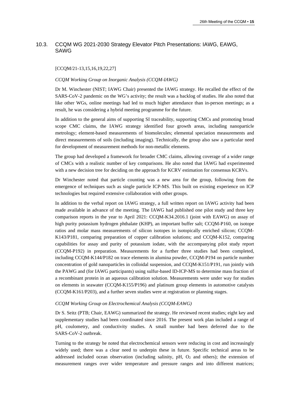## 10.3. CCQM WG 2021-2030 Strategy Elevator Pitch Presentations: IAWG, EAWG, SAWG

#### [CCQM/21-13,15,16,19,22,27]

#### *CCQM Working Group on Inorganic Analysis (CCQM-IAWG)*

Dr M. Winchester (NIST; IAWG Chair) presented the IAWG strategy. He recalled the effect of the SARS-CoV-2 pandemic on the WG's activity; the result was a backlog of studies. He also noted that like other WGs, online meetings had led to much higher attendance than in-person meetings; as a result, he was considering a hybrid meeting programme for the future.

In addition to the general aims of supporting SI traceability, supporting CMCs and promoting broad scope CMC claims, the IAWG strategy identified four growth areas, including nanoparticle metrology; element-based measurements of biomolecules; elemental speciation measurements and direct measurements of soils (including imaging). Technically, the group also saw a particular need for development of measurement methods for non-metallic elements.

The group had developed a framework for broader CMC claims, allowing coverage of a wider range of CMCs with a realistic number of key comparisons. He also noted that IAWG had experimented with a new decision tree for deciding on the approach for KCRV estimation for consensus KCRVs.

Dr Winchester noted that particle counting was a new area for the group, following from the emergence of techniques such as single particle ICP-MS. This built on existing experience on ICP technologies but required extensive collaboration with other groups.

In addition to the verbal report on IAWG strategy, a full written report on IAWG activity had been made available in advance of the meeting. The IAWG had published one pilot study and three key comparison reports in the year to April 2021: CCQM-K34.2016.1 (joint with EAWG) on assay of high purity potassium hydrogen phthalate (KHP), an important buffer salt; CCQM-P160, on isotope ratios and molar mass measurements of silicon isotopes in isotopically enriched silicon; CCQM-K143/P181, comparing preparation of copper calibration solutions; and CCQM-K152, comparing capabilities for assay and purity of potassium iodate, with the accompanying pilot study report (CCQM-P192) in preparation. Measurements for a further three studies had been completed, including CCQM-K144/P182 on trace elements in alumina powder, CCQM-P194 on particle number concentration of gold nanoparticles in colloidal suspension, and CCQM-K151/P191, run jointly with the PAWG and (for IAWG participants) using sulfur-based ID-ICP-MS to determine mass fraction of a recombinant protein in an aqueous calibration solution. Measurements were under way for studies on elements in seawater (CCQM-K155/P196) and platinum group elements in automotive catalysts (CCQM-K161/P203), and a further seven studies were at registration or planning stages.

#### *CCQM Working Group on Electrochemical Analysis (CCQM-EAWG)*

Dr S. Seitz (PTB; Chair, EAWG) summarized the strategy. He reviewed recent studies; eight key and supplementary studies had been coordinated since 2016. The present work plan included a range of pH, coulometry, and conductivity studies. A small number had been deferred due to the SARS-CoV-2 outbreak.

Turning to the strategy he noted that electrochemical sensors were reducing in cost and increasingly widely used; there was a clear need to underpin these in future. Specific technical areas to be addressed included ocean observation (including salinity,  $pH$ ,  $O_2$  and others); the extension of measurement ranges over wider temperature and pressure ranges and into different matrices;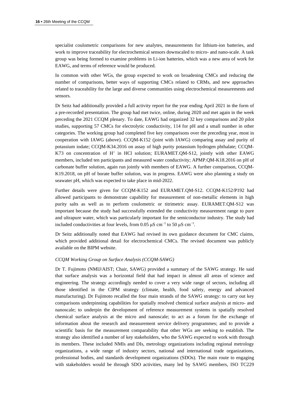specialist coulometric comparisons for new analytes, measurements for lithium-ion batteries, and work to improve traceability for electrochemical sensors downscaled to micro- and nano-scale. A task group was being formed to examine problems in Li-ion batteries, which was a new area of work for EAWG, and terms of reference would be produced.

In common with other WGs, the group expected to work on broadening CMCs and reducing the number of comparisons, better ways of supporting CMCs related to CRMs, and new approaches related to traceability for the large and diverse communities using electrochemical measurements and sensors.

Dr Seitz had additionally provided a full activity report for the year ending April 2021 in the form of a pre-recorded presentation. The group had met twice, online, during 2020 and met again in the week preceding the 2021 CCQM plenary. To date, EAWG had organized 32 key comparisons and 20 pilot studies, supporting 57 CMCs for electrolytic conductivity, 114 for pH and a small number in other categories. The working group had completed five key comparisons over the preceding year, most in cooperation with IAWG (above). CCQM-K152 (joint with IAWG) comparing assay and purity of potassium iodate; CCQM-K34.2016 on assay of high purity potassium hydrogen phthalate; CCQM-K73 on concentration of  $H^+$  in HCl solution; EURAMET.QM-S12, jointly with other EAWG members, included ten participants and measured water conductivity; APMP.QM-K18.2016 on pH of carbonate buffer solution, again run jointly with members of EAWG. A further comparison, CCQM-K19.2018, on pH of borate buffer solution, was in progress. EAWG were also planning a study on seawater pH, which was expected to take place in mid-2022.

Further details were given for CCQM-K152 and EURAMET.QM-S12. CCQM-K152/P192 had allowed participants to demonstrate capability for measurement of non-metallic elements in high purity salts as well as to perform coulometric or titrimetric assay. EURAMET.QM-S12 was important because the study had successfully extended the conductivity measurement range to pure and ultrapure water, which was particularly important for the semiconductor industry. The study had included conductivities at four levels, from 0.05  $\mu$ S cm<sup>-1</sup> to 50  $\mu$ S cm<sup>-1</sup>.

Dr Seitz additionally noted that EAWG had revised its own guidance document for CMC claims, which provided additional detail for electrochemical CMCs. The revised document was publicly available on the BIPM website.

#### *CCQM Working Group on Surface Analysis (CCQM-SAWG)*

Dr T. Fujimoto (NMIJ/AIST; Chair, SAWG) provided a summary of the SAWG strategy. He said that surface analysis was a horizontal field that had impact in almost all areas of science and engineering. The strategy accordingly needed to cover a very wide range of sectors, including all those identified in the CIPM strategy (climate, health, food safety, energy and advanced manufacturing). Dr Fujimoto recalled the four main strands of the SAWG strategy: to carry out key comparisons underpinning capabilities for spatially resolved chemical surface analysis at micro- and nanoscale; to underpin the development of reference measurement systems in spatially resolved chemical surface analysis at the micro and nanoscale; to act as a forum for the exchange of information about the research and measurement service delivery programmes; and to provide a scientific basis for the measurement comparability that other WGs are seeking to establish. The strategy also identified a number of key stakeholders, who the SAWG expected to work with through its members. These included NMIs and DIs, metrology organizations including regional metrology organizations, a wide range of industry sectors, national and international trade organizations, professional bodies, and standards development organizations (SDOs). The main route to engaging with stakeholders would be through SDO activities, many led by SAWG members, ISO TC229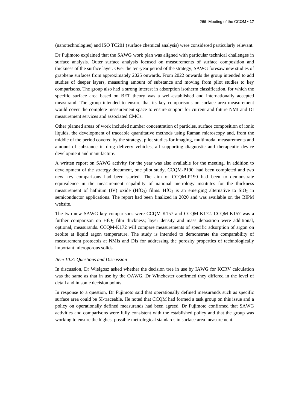(nanotechnologies) and ISO TC201 (surface chemical analysis) were considered particularly relevant.

Dr Fujimoto explained that the SAWG work plan was aligned with particular technical challenges in surface analysis. Outer surface analysis focused on measurements of surface composition and thickness of the surface layer. Over the ten-year period of the strategy, SAWG foresaw new studies of graphene surfaces from approximately 2025 onwards. From 2022 onwards the group intended to add studies of deeper layers, measuring amount of substance and moving from pilot studies to key comparisons. The group also had a strong interest in adsorption isotherm classification, for which the specific surface area based on BET theory was a well-established and internationally accepted measurand. The group intended to ensure that its key comparisons on surface area measurement would cover the complete measurement space to ensure support for current and future NMI and DI measurement services and associated CMCs.

Other planned areas of work included number concentration of particles, surface composition of ionic liquids, the development of traceable quantitative methods using Raman microscopy and, from the middle of the period covered by the strategy, pilot studies for imaging, multimodal measurements and amount of substance in drug delivery vehicles, all supporting diagnostic and therapeutic device development and manufacture.

A written report on SAWG activity for the year was also available for the meeting. In addition to development of the strategy document, one pilot study, CCQM-P190, had been completed and two new key comparisons had been started. The aim of CCQM-P190 had been to demonstrate equivalence in the measurement capability of national metrology institutes for the thickness measurement of hafnium (IV) oxide (HfO<sub>2</sub>) films. HfO<sub>2</sub> is an emerging alternative to  $SiO<sub>2</sub>$  in semiconductor applications. The report had been finalized in 2020 and was available on the BIPM website.

The two new SAWG key comparisons were CCQM-K157 and CCQM-K172. CCQM-K157 was a further comparison on HfO<sub>2</sub> film thickness; layer density and mass deposition were additional, optional, measurands. CCQM-K172 will compare measurements of specific adsorption of argon on zeolite at liquid argon temperature. The study is intended to demonstrate the comparability of measurement protocols at NMIs and DIs for addressing the porosity properties of technologically important microporous solids.

#### *Item 10.3: Questions and Discussion*

In discussion, Dr Wielgosz asked whether the decision tree in use by IAWG for KCRV calculation was the same as that in use by the OAWG. Dr Winchester confirmed they differed in the level of detail and in some decision points.

In response to a question, Dr Fujimoto said that operationally defined measurands such as specific surface area could be SI-traceable. He noted that CCQM had formed a task group on this issue and a policy on operationally defined measurands had been agreed. Dr Fujimoto confirmed that SAWG activities and comparisons were fully consistent with the established policy and that the group was working to ensure the highest possible metrological standards in surface area measurement.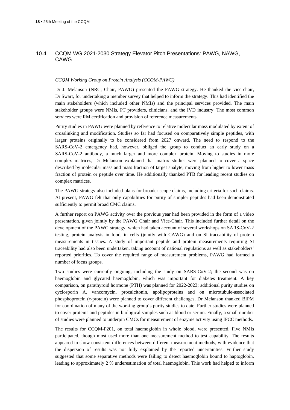## 10.4. CCQM WG 2021-2030 Strategy Elevator Pitch Presentations: PAWG, NAWG, CAWG

#### *CCQM Working Group on Protein Analysis (CCQM-PAWG)*

Dr J. Melanson (NRC; Chair, PAWG) presented the PAWG strategy. He thanked the vice-chair, Dr Swart, for undertaking a member survey that helped to inform the strategy. This had identified the main stakeholders (which included other NMIs) and the principal services provided. The main stakeholder groups were NMIs, PT providers, clinicians, and the IVD industry. The most common services were RM certification and provision of reference measurements.

Purity studies in PAWG were planned by reference to relative molecular mass modulated by extent of crosslinking and modification. Studies so far had focused on comparatively simple peptides, with larger proteins originally to be considered from 2027 onward. The need to respond to the SARS-CoV-2 emergency had, however, obliged the group to conduct an early study on a SARS-CoV-2 antibody, a much larger and more complex protein. Moving to studies in more complex matrices, Dr Melanson explained that matrix studies were planned to cover a space described by molecular mass and mass fraction of target analyte, moving from higher to lower mass fraction of protein or peptide over time. He additionally thanked PTB for leading recent studies on complex matrices.

The PAWG strategy also included plans for broader scope claims, including criteria for such claims. At present, PAWG felt that only capabilities for purity of simpler peptides had been demonstrated sufficiently to permit broad CMC claims.

A further report on PAWG activity over the previous year had been provided in the form of a video presentation, given jointly by the PAWG Chair and Vice-Chair. This included further detail on the development of the PAWG strategy, which had taken account of several workshops on SARS-CoV-2 testing, protein analysis in food, in cells (jointly with CAWG) and on SI traceability of protein measurements in tissues. A study of important peptide and protein measurements requiring SI traceability had also been undertaken, taking account of national regulations as well as stakeholders' reported priorities. To cover the required range of measurement problems, PAWG had formed a number of focus groups.

Two studies were currently ongoing, including the study on SARS-CoV-2; the second was on haemoglobin and glycated haemoglobin, which was important for diabetes treatment. A key comparison, on parathyroid hormone (PTH) was planned for 2022-2023; additional purity studies on cyclosporin A, vancomycin, procalcitonin, apolipoproteins and on microtubule-associated phosphoprotein (τ-protein) were planned to cover different challenges. Dr Melanson thanked BIPM for coordination of many of the working group's purity studies to date. Further studies were planned to cover proteins and peptides in biological samples such as blood or serum. Finally, a small number of studies were planned to underpin CMCs for measurement of enzyme activity using IFCC methods.

The results for CCQM-P201, on total haemoglobin in whole blood, were presented. Five NMIs participated, though most used more than one measurement method to test capability. The results appeared to show consistent differences between different measurement methods, with evidence that the dispersion of results was not fully explained by the reported uncertainties. Further study suggested that some separative methods were failing to detect haemoglobin bound to haptoglobin, leading to approximately 2 % underestimation of total haemoglobin. This work had helped to inform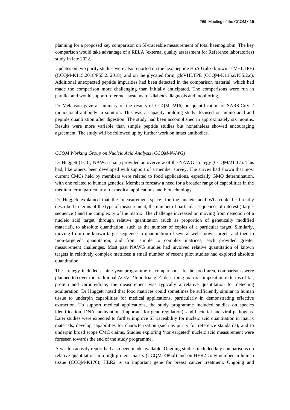planning for a proposed key comparison on SI-traceable measurement of total haemoglobin. The key comparison would take advantage of a RELA (external quality assessment for Reference laboratories) study in late 2022.

Updates on two purity studies were also reported on the hexapeptide HbA0 (also known as VHLTPE) (CCQM-K115.2018/P55.2. 2018), and on the glycated form, glcVHLTPE (CCQM-K115.c/P55.2.c). Additional unexpected peptide impurities had been detected in the comparison material, which had made the comparison more challenging than initially anticipated. The comparisons were run in parallel and would support reference systems for diabetes diagnosis and monitoring.

Dr Melanson gave a summary of the results of CCQM-P216, on quantification of SARS-CoV-2 monoclonal antibody in solution. This was a capacity building study, focused on amino acid and peptide quantitation after digestion. The study had been accomplished in approximately six months. Results were more variable than simple peptide studies but nonetheless showed encouraging agreement. The study will be followed up by further work on intact antibodies.

#### *CCQM Working Group on Nucleic Acid Analysis (CCQM-NAWG)*

Dr Huggett (LGC; NAWG chair) provided an overview of the NAWG strategy (CCQM/21-17). This had, like others, been developed with support of a member survey. The survey had shown that most current CMCs held by members were related to food applications, especially GMO determination, with one related to human genetics. Members foresaw a need for a broader range of capabilities in the medium term, particularly for medical applications and biotechnology.

Dr Huggett explained that the 'measurement space' for the nucleic acid WG could be broadly described in terms of the type of measurement, the number of particular sequences of interest ('target sequence') and the complexity of the matrix. The challenge increased on moving from detection of a nucleic acid target, through relative quantitation (such as proportion of genetically modified material), to absolute quantitation, such as the number of copies of a particular target. Similarly, moving from one known target sequence to quantitation of several well-known targets and then to 'non-targeted' quantitation, and from simple to complex matrices, each provided greater measurement challenges. Most past NAWG studies had involved relative quantitation of known targets in relatively complex matrices; a small number of recent pilot studies had explored absolute quantitation.

The strategy included a nine-year programme of comparisons. In the food area, comparisons were planned to cover the traditional AOAC 'food triangle', describing matrix composition in terms of fat, protein and carbohydrate; the measurement was typically a relative quantitation for detecting adulteration. Dr Huggett noted that food matrices could sometimes be sufficiently similar to human tissue to underpin capabilities for medical applications, particularly in demonstrating effective extraction. To support medical applications, the study programme included studies on species identification, DNA methylation (important for gene regulation), and bacterial and viral pathogens. Later studies were expected to further improve SI traceability for nucleic acid quantitation in matrix materials, develop capabilities for characterization (such as purity for reference standards), and to underpin broad scope CMC claims. Studies exploring 'non-targeted' nucleic acid measurement were foreseen towards the end of the study programme.

A written activity report had also been made available. Ongoing studies included key comparisons on relative quantitation in a high protein matrix (CCQM-K86.d) and on HER2 copy number in human tissue (CCQM-K176); HER2 is an important gene for breast cancer treatment. Ongoing and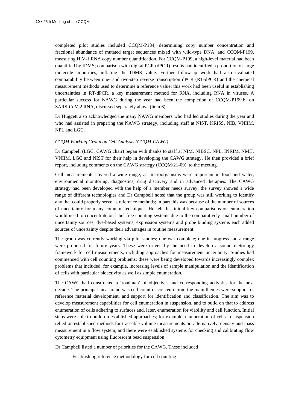completed pilot studies included CCQM-P184, determining copy number concentration and fractional abundance of mutated target sequences mixed with wild-type DNA, and CCQM-P199, measuring HIV-1 RNA copy number quantification. For CCQM-P199, a high-level material had been quantified by IDMS; comparison with digital PCR (dPCR) results had identified a proportion of large molecule impurities, inflating the IDMS value. Further follow-up work had also evaluated comparability between one- and two-step reverse transcription dPCR (RT-dPCR) and the chemical measurement methods used to determine a reference value; this work had been useful in establishing uncertainties in RT-dPCR, a key measurement method for RNA, including RNA in viruses. A particular success for NAWG during the year had been the completion of CCQM-P199.b, on SARS-CoV-2 RNA, discussed separately above (item 6).

Dr Huggett also acknowledged the many NAWG members who had led studies during the year and who had assisted in preparing the NAWG strategy, including staff at NIST, KRISS, NIB, VNIIM, NPL and LGC.

#### *CCQM Working Group on Cell Analysis (CCQM-CAWG)*

Dr Campbell (LGC; CAWG chair) began with thanks to staff at NIM, NIBSC, NPL, INRIM, NMIJ, VNIIM, LGC and NIST for their help in developing the CAWG strategy. He then provided a brief report, including comments on the CAWG strategy (CCQM/21-09), to the meeting.

Cell measurements covered a wide range, as microorganisms were important in food and water, environmental monitoring, diagnostics, drug discovery and in advanced therapies. The CAWG strategy had been developed with the help of a member needs survey; the survey showed a wide range of different technologies and Dr Campbell noted that the group was still working to identify any that could properly serve as reference methods; in part this was because of the number of sources of uncertainty for many common techniques. He felt that initial key comparisons on enumeration would need to concentrate on label-free counting systems due to the comparatively small number of uncertainty sources; dye-based systems, expression systems and probe binding systems each added sources of uncertainty despite their advantages in routine measurement.

The group was currently working via pilot studies; one was complete; one in progress and a range were proposed for future years. These were driven by the need to develop a sound metrology framework for cell measurements, including approaches for measurement uncertainty. Studies had commenced with cell counting problems; these were being developed towards increasingly complex problems that included, for example, increasing levels of sample manipulation and the identification of cells with particular bioactivity as well as simple enumeration.

The CAWG had constructed a 'roadmap' of objectives and corresponding activities for the next decade. The principal measurand was cell count or concentration; the main themes were support for reference material development, and support for identification and classification. The aim was to develop measurement capabilities for cell enumeration in suspension, and to build on that to address enumeration of cells adhering to surfaces and, later, enumeration for viability and cell function. Initial steps were able to build on established approaches; for example, enumeration of cells in suspension relied on established methods for traceable volume measurements or, alternatively, density and mass measurement in a flow system, and there were established systems for checking and calibrating flow cytometry equipment using fluorescent bead suspension.

Dr Campbell listed a number of priorities for the CAWG. These included

Establishing reference methodology for cell counting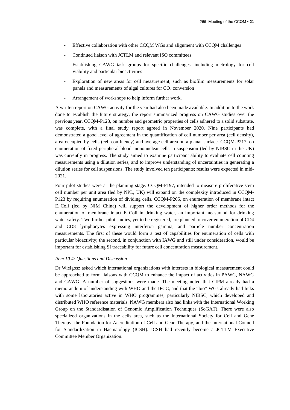- Effective collaboration with other CCQM WGs and alignment with CCQM challenges
- Continued liaison with JCTLM and relevant ISO committees
- Establishing CAWG task groups for specific challenges, including metrology for cell viability and particular bioactivities
- Exploration of new areas for cell measurement, such as biofilm measurements for solar panels and measurements of algal cultures for  $CO<sub>2</sub>$  conversion
- Arrangement of workshops to help inform further work.

A written report on CAWG activity for the year had also been made available. In addition to the work done to establish the future strategy, the report summarized progress on CAWG studies over the previous year. CCQM-P123, on number and geometric properties of cells adhered to a solid substrate, was complete, with a final study report agreed in November 2020. Nine participants had demonstrated a good level of agreement in the quantification of cell number per area (cell density), area occupied by cells (cell confluency) and average cell area on a planar surface. CCQM-P217, on enumeration of fixed peripheral blood mononuclear cells in suspension (led by NIBSC in the UK) was currently in progress. The study aimed to examine participant ability to evaluate cell counting measurements using a dilution series, and to improve understanding of uncertainties in generating a dilution series for cell suspensions. The study involved ten participants; results were expected in mid-2021.

Four pilot studies were at the planning stage. CCQM-P197, intended to measure proliferative stem cell number per unit area (led by NPL, UK) will expand on the complexity introduced in CCQM-P123 by requiring enumeration of dividing cells. CCQM-P205, on enumeration of membrane intact E. Coli (led by NIM China) will support the development of higher order methods for the enumeration of membrane intact E. Coli in drinking water, an important measurand for drinking water safety. Two further pilot studies, yet to be registered, are planned to cover enumeration of CD4 and CD8 lymphocytes expressing interferon gamma, and particle number concentration measurements. The first of these would form a test of capabilities for enumeration of cells with particular bioactivity; the second, in conjunction with IAWG and still under consideration, would be important for establishing SI traceability for future cell concentration measurement.

#### *Item 10.4: Questions and Discussion*

Dr Wielgosz asked which international organizations with interests in biological measurement could be approached to form liaisons with CCQM to enhance the impact of activities in PAWG, NAWG and CAWG. A number of suggestions were made. The meeting noted that CIPM already had a memorandum of understanding with WHO and the IFCC, and that the "bio" WGs already had links with some laboratories active in WHO programmes, particularly NIBSC, which developed and distributed WHO reference materials. NAWG members also had links with the International Working Group on the Standardisation of Genomic Amplification Techniques (SoGAT). There were also specialized organizations in the cells area, such as the International Society for Cell and Gene Therapy, the Foundation for Accreditation of Cell and Gene Therapy, and the International Council for Standardization in Haematology (ICSH). ICSH had recently become a JCTLM Executive Committee Member Organization.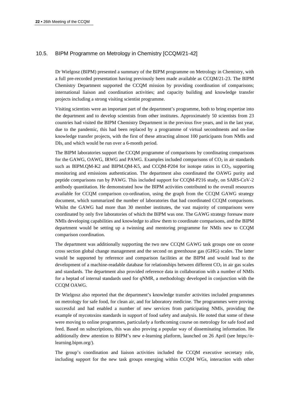## 10.5. BIPM Programme on Metrology in Chemistry [CCQM/21-42]

Dr Wielgosz (BIPM) presented a summary of the BIPM programme on Metrology in Chemistry, with a full pre-recorded presentation having previously been made available as CCQM/21-23. The BIPM Chemistry Department supported the CCQM mission by providing coordination of comparisons; international liaison and coordination activities; and capacity building and knowledge transfer projects including a strong visiting scientist programme.

Visiting scientists were an important part of the department's programme, both to bring expertise into the department and to develop scientists from other institutes. Approximately 50 scientists from 23 countries had visited the BIPM Chemistry Department in the previous five years, and in the last year, due to the pandemic, this had been replaced by a programme of virtual secondments and on-line knowledge transfer projects, with the first of these attracting almost 100 participants from NMIs and DIs, and which would be run over a 6-month period.

The BIPM laboratories support the CCQM programme of comparisons by coordinating comparisons for the GAWG, OAWG, IRWG and PAWG. Examples included comparisons of  $CO<sub>2</sub>$  in air standards such as BIPM.QM-K2 and BIPM.QM-K5, and CCQM-P204 for isotope ratios in  $CO<sub>2</sub>$ , supporting monitoring and emissions authentication. The department also coordinated the OAWG purity and peptide comparisons run by PAWG. This included support for CCQM-P216 study, on SARS-CoV-2 antibody quantitation. He demonstrated how the BIPM activities contributed to the overall resources available for CCQM comparison co-ordination, using the graph from the CCQM GAWG strategy document, which summarized the number of laboratories that had coordinated CCQM comparisons. Whilst the GAWG had more than 30 member institutes, the vast majority of comparisons were coordinated by only five laboratories of which the BIPM was one. The GAWG strategy foresaw more NMIs developing capabilities and knowledge to allow them to coordinate comparisons, and the BIPM department would be setting up a twinning and mentoring programme for NMIs new to CCQM comparison coordination.

The department was additionally supporting the two new CCQM GAWG task groups one on ozone cross section global change management and the second on greenhouse gas (GHG) scales. The latter would be supported by reference and comparison facilities at the BIPM and would lead to the development of a machine-readable database for relationships between different  $CO<sub>2</sub>$  in air gas scales and standards. The department also provided reference data in collaboration with a number of NMIs for a heptad of internal standards used for qNMR, a methodology developed in conjunction with the CCQM OAWG.

Dr Wielgosz also reported that the department's knowledge transfer activities included programmes on metrology for safe food, for clean air, and for laboratory medicine. The programmes were proving successful and had enabled a number of new services from participating NMIs, providing the example of mycotoxins standards in support of food safety and analysis. He noted that some of these were moving to online programmes, particularly a forthcoming course on metrology for safe food and feed. Based on subscriptions, this was also proving a popular way of disseminating information. He additionally drew attention to BIPM's new e-learning platform, launched on 26 April (see [https://e](https://e-learning.bipm.org/)[learning.bipm.org/\)](https://e-learning.bipm.org/).

The group's coordination and liaison activities included the CCQM executive secretary role, including support for the new task groups emerging within CCQM WGs, interaction with other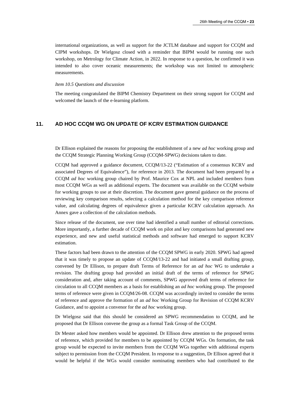international organizations, as well as support for the JCTLM database and support for CCQM and CIPM workshops. Dr Wielgosz closed with a reminder that BIPM would be running one such workshop, on Metrology for Climate Action, in 2022. In response to a question, he confirmed it was intended to also cover oceanic measurements; the workshop was not limited to atmospheric measurements.

#### *Item 10.5 Questions and discussion*

The meeting congratulated the BIPM Chemistry Department on their strong support for CCQM and welcomed the launch of the e-learning platform.

## **11. AD HOC CCQM WG ON UPDATE OF KCRV ESTIMATION GUIDANCE**

Dr Ellison explained the reasons for proposing the establishment of a new *ad hoc* working group and the CCQM Strategic Planning Working Group (CCQM-SPWG) decisions taken to date.

CCQM had approved a guidance document, CCQM/13-22 ("Estimation of a consensus KCRV and associated Degrees of Equivalence"), for reference in 2013. The document had been prepared by a CCQM *ad hoc* working group chaired by Prof. Maurice Cox at NPL and included members from most CCQM WGs as well as additional experts. The document was available on the CCQM website for working groups to use at their discretion. The document gave general guidance on the process of reviewing key comparison results, selecting a calculation method for the key comparison reference value, and calculating degrees of equivalence given a particular KCRV calculation approach. An Annex gave a collection of the calculation methods.

Since release of the document, use over time had identified a small number of editorial corrections. More importantly, a further decade of CCQM work on pilot and key comparisons had generated new experience, and new and useful statistical methods and software had emerged to support KCRV estimation.

These factors had been drawn to the attention of the CCQM SPWG in early 2020. SPWG had agreed that it was timely to propose an update of CCQM/13-22 and had initiated a small drafting group, convened by Dr Ellison, to prepare draft Terms of Reference for an *ad hoc* WG to undertake a revision. The drafting group had provided an initial draft of the terms of reference for SPWG consideration and, after taking account of comments, SPWG approved draft terms of reference for circulation to all CCQM members as a basis for establishing an *ad hoc* working group. The proposed terms of reference were given in CCQM/26-08. CCQM was accordingly invited to consider the terms of reference and approve the formation of an *ad hoc* Working Group for Revision of CCQM KCRV Guidance, and to appoint a convenor for the *ad hoc* working group.

Dr Wielgosz said that this should be considered an SPWG recommendation to CCQM, and he proposed that Dr Ellison convene the group as a formal Task Group of the CCQM.

Dr Mester asked how members would be appointed. Dr Ellison drew attention to the proposed terms of reference, which provided for members to be appointed by CCQM WGs. On formation, the task group would be expected to invite members from the CCQM WGs together with additional experts subject to permission from the CCQM President. In response to a suggestion, Dr Ellison agreed that it would be helpful if the WGs would consider nominating members who had contributed to the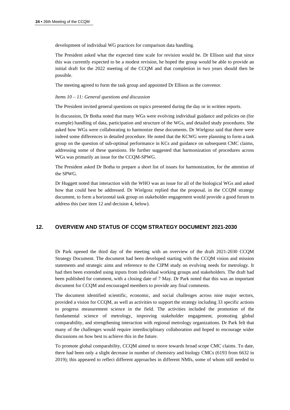development of individual WG practices for comparison data handling.

The President asked what the expected time scale for revision would be. Dr Ellison said that since this was currently expected to be a modest revision, he hoped the group would be able to provide an initial draft for the 2022 meeting of the CCQM and that completion in two years should then be possible.

The meeting agreed to form the task group and appointed Dr Ellison as the convenor.

#### *Items 10 – 11: General questions and discussion*

The President invited general questions on topics presented during the day or in written reports.

In discussion, Dr Botha noted that many WGs were evolving individual guidance and policies on (for example) handling of data, participation and structure of the WGs, and detailed study procedures. She asked how WGs were collaborating to harmonize these documents. Dr Wielgosz said that there were indeed some differences in detailed procedure. He noted that the KCWG were planning to form a task group on the question of sub-optimal performance in KCs and guidance on subsequent CMC claims, addressing some of these questions. He further suggested that harmonization of procedures across WGs was primarily an issue for the CCQM-SPWG.

The President asked Dr Botha to prepare a short list of issues for harmonization, for the attention of the SPWG.

Dr Huggett noted that interaction with the WHO was an issue for all of the biological WGs and asked how that could best be addressed. Dr Wielgosz replied that the proposal, in the CCQM strategy document, to form a horizontal task group on stakeholder engagement would provide a good forum to address this (see ite[m 12](#page-23-0) and decision 4, below).

## <span id="page-23-0"></span>**12. OVERVIEW AND STATUS OF CCQM STRATEGY DOCUMENT 2021-2030**

Dr Park opened the third day of the meeting with an overview of the draft 2021-2030 CCQM Strategy Document. The document had been developed starting with the CCQM vision and mission statements and strategic aims and reference to the CIPM study on evolving needs for metrology. It had then been extended using inputs from individual working groups and stakeholders. The draft had been published for comment, with a closing date of 7 May. Dr Park noted that this was an important document for CCQM and encouraged members to provide any final comments.

The document identified scientific, economic, and social challenges across nine major sectors, provided a vision for CCQM, as well as activities to support the strategy including 33 specific actions to progress measurement science in the field. The activities included the promotion of the fundamental science of metrology, improving stakeholder engagement, promoting global comparability, and strengthening interaction with regional metrology organizations. Dr Park felt that many of the challenges would require interdisciplinary collaboration and hoped to encourage wider discussions on how best to achieve this in the future.

To promote global comparability, CCQM aimed to move towards broad scope CMC claims. To date, there had been only a slight decrease in number of chemistry and biology CMCs (6193 from 6632 in 2019); this appeared to reflect different approaches in different NMIs, some of whom still needed to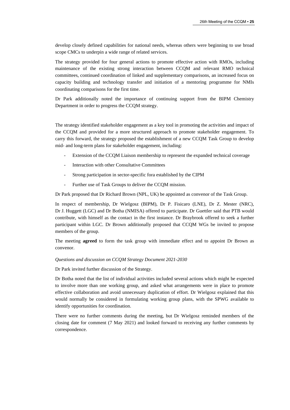develop closely defined capabilities for national needs, whereas others were beginning to use broad scope CMCs to underpin a wide range of related services.

The strategy provided for four general actions to promote effective action with RMOs, including maintenance of the existing strong interaction between CCQM and relevant RMO technical committees, continued coordination of linked and supplementary comparisons, an increased focus on capacity building and technology transfer and initiation of a mentoring programme for NMIs coordinating comparisons for the first time.

Dr Park additionally noted the importance of continuing support from the BIPM Chemistry Department in order to progress the CCQM strategy.

The strategy identified stakeholder engagement as a key tool in promoting the activities and impact of the CCQM and provided for a more structured approach to promote stakeholder engagement. To carry this forward, the strategy proposed the establishment of a new CCQM Task Group to develop mid- and long-term plans for stakeholder engagement, including:

- Extension of the CCQM Liaison membership to represent the expanded technical coverage
- Interaction with other Consultative Committees
- Strong participation in sector-specific fora established by the CIPM
- Further use of Task Groups to deliver the CCQM mission.

Dr Park proposed that Dr Richard Brown (NPL, UK) be appointed as convenor of the Task Group.

In respect of membership, Dr Wielgosz (BIPM), Dr P. Fisicaro (LNE), Dr Z. Mester (NRC), Dr J. Huggett (LGC) and Dr Botha (NMISA) offered to participate. Dr Guettler said that PTB would contribute, with himself as the contact in the first instance. Dr Braybrook offered to seek a further participant within LGC. Dr Brown additionally proposed that CCQM WGs be invited to propose members of the group.

The meeting **agreed** to form the task group with immediate effect and to appoint Dr Brown as convenor.

#### *Questions and discussion on CCQM Strategy Document 2021-2030*

Dr Park invited further discussion of the Strategy.

Dr Botha noted that the list of individual activities included several actions which might be expected to involve more than one working group, and asked what arrangements were in place to promote effective collaboration and avoid unnecessary duplication of effort. Dr Wielgosz explained that this would normally be considered in formulating working group plans, with the SPWG available to identify opportunities for coordination.

There were no further comments during the meeting, but Dr Wielgosz reminded members of the closing date for comment (7 May 2021) and looked forward to receiving any further comments by correspondence.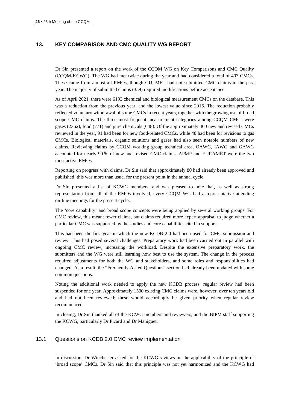## **13. KEY COMPARISON AND CMC QUALITY WG REPORT**

Dr Sin presented a report on the work of the CCQM WG on Key Comparisons and CMC Quality (CCQM-KCWG). The WG had met twice during the year and had considered a total of 403 CMCs. These came from almost all RMOs, though GULMET had not submitted CMC claims in the past year. The majority of submitted claims (359) required modifications before acceptance.

As of April 2021, there were 6193 chemical and biological measurement CMCs on the database. This was a reduction from the previous year, and the lowest value since 2016. The reduction probably reflected voluntary withdrawal of some CMCs in recent years, together with the growing use of broad scope CMC claims. The three most frequent measurement categories among CCQM CMCs were gases (2362), food (771) and pure chemicals (648). Of the approximately 400 new and revised CMCs reviewed in the year, 91 had been for new food-related CMCs, while 48 had been for revisions to gas CMCs. Biological materials, organic solutions and gases had also seen notable numbers of new claims. Reviewing claims by CCQM working group technical area, OAWG, IAWG and GAWG accounted for nearly 90 % of new and revised CMC claims. APMP and EURAMET were the two most active RMOs.

Reporting on progress with claims, Dr Sin said that approximately 80 had already been approved and published; this was more than usual for the present point in the annual cycle.

Dr Sin presented a list of KCWG members, and was pleased to note that, as well as strong representation from all of the RMOs involved, every CCQM WG had a representative attending on-line meetings for the present cycle.

The 'core capability' and broad scope concepts were being applied by several working groups. For CMC review, this meant fewer claims, but claims required more expert appraisal to judge whether a particular CMC was supported by the studies and core capabilities cited in support.

This had been the first year in which the new KCDB 2.0 had been used for CMC submission and review. This had posed several challenges. Preparatory work had been carried out in parallel with ongoing CMC review, increasing the workload. Despite the extensive preparatory work, the submitters and the WG were still learning how best to use the system. The change in the process required adjustments for both the WG and stakeholders, and some roles and responsibilities had changed. As a result, the "Frequently Asked Questions" section had already been updated with some common questions.

Noting the additional work needed to apply the new KCDB process, regular review had been suspended for one year. Approximately 1500 existing CMC claims were, however, over ten years old and had not been reviewed; these would accordingly be given priority when regular review recommenced.

In closing, Dr Sin thanked all of the KCWG members and reviewers, and the BIPM staff supporting the KCWG, particularly Dr Picard and Dr Maniguet.

## 13.1. Questions on KCDB 2.0 CMC review implementation

In discussion, Dr Winchester asked for the KCWG's views on the applicability of the principle of 'broad scope' CMCs. Dr Sin said that this principle was not yet harmonized and the KCWG had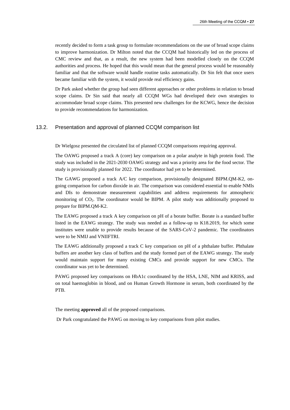recently decided to form a task group to formulate recommendations on the use of broad scope claims to improve harmonization. Dr Milton noted that the CCQM had historically led on the process of CMC review and that, as a result, the new system had been modelled closely on the CCQM authorities and process. He hoped that this would mean that the general process would be reasonably familiar and that the software would handle routine tasks automatically. Dr Sin felt that once users became familiar with the system, it would provide real efficiency gains.

Dr Park asked whether the group had seen different approaches or other problems in relation to broad scope claims. Dr Sin said that nearly all CCQM WGs had developed their own strategies to accommodate broad scope claims. This presented new challenges for the KCWG, hence the decision to provide recommendations for harmonization.

#### 13.2. Presentation and approval of planned CCQM comparison list

Dr Wielgosz presented the circulated list of planned CCQM comparisons requiring approval.

The OAWG proposed a track A (core) key comparison on a polar analyte in high protein food. The study was included in the 2021-2030 OAWG strategy and was a priority area for the food sector. The study is provisionally planned for 2022. The coordinator had yet to be determined.

The GAWG proposed a track A/C key comparison, provisionally designated BIPM.QM-K2, ongoing comparison for carbon dioxide in air. The comparison was considered essential to enable NMIs and DIs to demonstrate measurement capabilities and address requirements for atmospheric monitoring of CO2. The coordinator would be BIPM. A pilot study was additionally proposed to prepare for BIPM.QM-K2.

The EAWG proposed a track A key comparison on pH of a borate buffer. Borate is a standard buffer listed in the EAWG strategy. The study was needed as a follow-up to K18.2019, for which some institutes were unable to provide results because of the SARS-CoV-2 pandemic. The coordinators were to be NMIJ and VNIIFTRI.

The EAWG additionally proposed a track C key comparison on pH of a phthalate buffer. Phthalate buffers are another key class of buffers and the study formed part of the EAWG strategy. The study would maintain support for many existing CMCs and provide support for new CMCs. The coordinator was yet to be determined.

PAWG proposed key comparisons on HbA1c coordinated by the HSA, LNE, NIM and KRISS, and on total haemoglobin in blood, and on Human Growth Hormone in serum, both coordinated by the PTB.

The meeting **approved** all of the proposed comparisons.

Dr Park congratulated the PAWG on moving to key comparisons from pilot studies.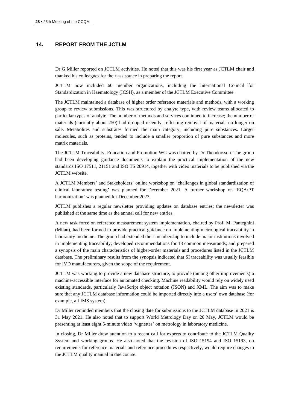## **14. REPORT FROM THE JCTLM**

Dr G Miller reported on JCTLM activities. He noted that this was his first year as JCTLM chair and thanked his colleagues for their assistance in preparing the report.

JCTLM now included 60 member organizations, including the International Council for Standardization in Haematology (ICSH), as a member of the JCTLM Executive Committee.

The JCTLM maintained a database of higher order reference materials and methods, with a working group to review submissions. This was structured by analyte type, with review teams allocated to particular types of analyte. The number of methods and services continued to increase; the number of materials (currently about 250) had dropped recently, reflecting removal of materials no longer on sale. Metabolites and substrates formed the main category, including pure substances. Larger molecules, such as proteins, tended to include a smaller proportion of pure substances and more matrix materials.

The JCTLM Traceability, Education and Promotion WG was chaired by Dr Theodorsson. The group had been developing guidance documents to explain the practical implementation of the new standards ISO 17511, 21151 and ISO TS 20914, together with video materials to be published via the JCTLM website.

A JCTLM Members' and Stakeholders' online workshop on 'challenges in global standardization of clinical laboratory testing' was planned for December 2021. A further workshop on 'EQA/PT harmonization' was planned for December 2023.

JCTLM publishes a regular newsletter providing updates on database entries; the newsletter was published at the same time as the annual call for new entries.

A new task force on reference measurement system implementation, chaired by Prof. M. Panteghini (Milan), had been formed to provide practical guidance on implementing metrological traceability in laboratory medicine. The group had extended their membership to include major institutions involved in implementing traceability; developed recommendations for 13 common measurands; and prepared a synopsis of the main characteristics of higher-order materials and procedures listed in the JCTLM database. The preliminary results from the synopsis indicated that SI traceability was usually feasible for IVD manufacturers, given the scope of the requirement.

JCTLM was working to provide a new database structure, to provide (among other improvements) a machine-accessible interface for automated checking. Machine readability would rely on widely used existing standards, particularly JavaScript object notation (JSON) and XML. The aim was to make sure that any JCTLM database information could be imported directly into a users' own database (for example, a LIMS system).

Dr Miller reminded members that the closing date for submissions to the JCTLM database in 2021 is 31 May 2021. He also noted that to support World Metrology Day on 20 May, JCTLM would be presenting at least eight 5-minute video 'vignettes' on metrology in laboratory medicine.

In closing, Dr Miller drew attention to a recent call for experts to contribute to the JCTLM Quality System and working groups. He also noted that the revision of ISO 15194 and ISO 15193, on requirements for reference materials and reference procedures respectively, would require changes to the JCTLM quality manual in due course.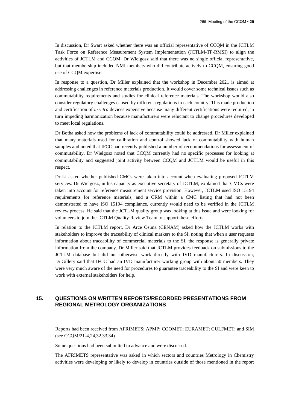In discussion, Dr Swart asked whether there was an official representative of CCQM in the JCTLM Task Force on Reference Measurement System Implementation (JCTLM-TF-RMSI) to align the activities of JCTLM and CCQM. Dr Wielgosz said that there was no single official representative, but that membership included NMI members who did contribute actively to CCQM, ensuring good use of CCQM expertise.

In response to a question, Dr Miller explained that the workshop in December 2021 is aimed at addressing challenges in reference materials production. It would cover some technical issues such as commutability requirements and studies for clinical reference materials. The workshop would also consider regulatory challenges caused by different regulations in each country. This made production and certification of *in vitro* devices expensive because many different certifications were required, in turn impeding harmonization because manufacturers were reluctant to change procedures developed to meet local regulations.

Dr Botha asked how the problems of lack of commutability could be addressed. Dr Miller explained that many materials used for calibration and control showed lack of commutability with human samples and noted that IFCC had recently published a number of recommendations for assessment of commutability. Dr Wielgosz noted that CCQM currently had no specific processes for looking at commutability and suggested joint activity between CCQM and JCTLM would be useful in this respect.

Dr Li asked whether published CMCs were taken into account when evaluating proposed JCTLM services. Dr Wielgosz, in his capacity as executive secretary of JCTLM, explained that CMCs were taken into account for reference measurement service provision. However, JCTLM used ISO 15194 requirements for reference materials, and a CRM within a CMC listing that had not been demonstrated to have ISO 15194 compliance, currently would need to be verified in the JCTLM review process. He said that the JCTLM quality group was looking at this issue and were looking for volunteers to join the JCTLM Quality Review Team to support these efforts.

In relation to the JCTLM report, Dr Arce Osuna (CENAM) asked how the JCTLM works with stakeholders to improve the traceability of clinical markers to the SI, noting that when a user requests information about traceability of commercial materials to the SI, the response is generally private information from the company. Dr Miller said that JCTLM provides feedback on submissions to the JCTLM database but did not otherwise work directly with IVD manufacturers. In discussion, Dr Gillery said that IFCC had an IVD manufacturer working group with about 50 members. They were very much aware of the need for procedures to guarantee traceability to the SI and were keen to work with external stakeholders for help.

## **15. QUESTIONS ON WRITTEN REPORTS/RECORDED PRESENTATIONS FROM REGIONAL METROLOGY ORGANIZATIONS**

Reports had been received from AFRIMETS; APMP; COOMET; EURAMET; GULFMET; and SIM (see CCQM/21-4,24,32,33,34)

Some questions had been submitted in advance and were discussed.

The AFRIMETS representative was asked in which sectors and countries Metrology in Chemistry activities were developing or likely to develop in countries outside of those mentioned in the report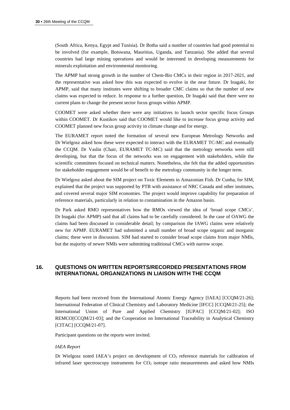(South Africa, Kenya, Egypt and Tunisia). Dr Botha said a number of countries had good potential to be involved (for example, Botswana, Mauritius, Uganda, and Tanzania). She added that several countries had large mining operations and would be interested in developing measurements for minerals exploitation and environmental monitoring.

The APMP had strong growth in the number of Chem-Bio CMCs in their region in 2017-2021, and the representative was asked how this was expected to evolve in the near future. Dr Inagaki, for APMP, said that many institutes were shifting to broader CMC claims so that the number of new claims was expected to reduce. In response to a further question, Dr Inagaki said that there were no current plans to change the present sector focus groups within APMP.

COOMET were asked whether there were any initiatives to launch sector specific focus Groups within COOMET. Dr Kustikov said that COOMET would like to increase focus group activity and COOMET planned new focus group activity in climate change and for energy.

The EURAMET report noted the formation of several new European Metrology Networks and Dr Wielgosz asked how these were expected to interact with the EURAMET TC-MC and eventually the CCQM. Dr Vaslin (Chair, EURAMET TC-MC) said that the metrology networks were still developing, but that the focus of the networks was on engagement with stakeholders, while the scientific committees focused on technical matters. Nonetheless, she felt that the added opportunities for stakeholder engagement would be of benefit to the metrology community in the longer term.

Dr Wielgosz asked about the SIM project on Toxic Elements in Amazonian Fish. Dr Cunha, for SIM, explained that the project was supported by PTB with assistance of NRC Canada and other institutes, and covered several major SIM economies. The project would improve capability for preparation of reference materials, particularly in relation to contamination in the Amazon basin.

Dr Park asked RMO representatives how the RMOs viewed the idea of 'broad scope CMCs'. Dr Inagaki (for APMP) said that all claims had to be carefully considered. In the case of OAWG the claims had been discussed in considerable detail; by comparison the IAWG claims were relatively new for APMP. EURAMET had submitted a small number of broad scope organic and inorganic claims; these were in discussion. SIM had started to consider broad scope claims from major NMIs, but the majority of newer NMIs were submitting traditional CMCs with narrow scope.

## **16. QUESTIONS ON WRITTEN REPORTS/RECORDED PRESENTATIONS FROM INTERNATIONAL ORGANIZATIONS IN LIAISON WITH THE CCQM**

Reports had been received from the International Atomic Energy Agency [IAEA] [CCQM/21-26]; International Federation of Clinical Chemistry and Laboratory Medicine [IFCC] [CCQM/21-25]; the International Union of Pure and Applied Chemistry [IUPAC] [CCQM/21-02]; ISO REMCO[CCQM/21-03]; and the Cooperation on International Traceability in Analytical Chemistry [CITAC] [CCQM/21-07].

Participant questions on the reports were invited.

#### *IAEA Report*

Dr Wielgosz noted IAEA's project on development of  $CO<sub>2</sub>$  reference materials for calibration of infrared laser spectroscopy instruments for  $CO<sub>2</sub>$  isotope ratio measurements and asked how NMIs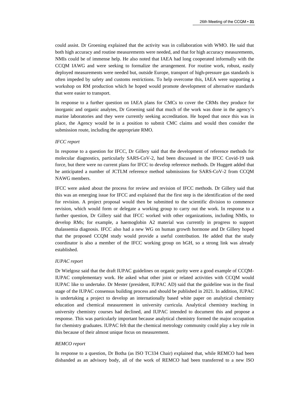could assist. Dr Groening explained that the activity was in collaboration with WMO. He said that both high accuracy and routine measurements were needed, and that for high accuracy measurements, NMIs could be of immense help. He also noted that IAEA had long cooperated informally with the CCQM IAWG and were seeking to formalize the arrangement. For routine work, robust, easily deployed measurements were needed but, outside Europe, transport of high-pressure gas standards is often impeded by safety and customs restrictions. To help overcome this, IAEA were supporting a workshop on RM production which he hoped would promote development of alternative standards that were easier to transport.

In response to a further question on IAEA plans for CMCs to cover the CRMs they produce for inorganic and organic analytes, Dr Groening said that much of the work was done in the agency's marine laboratories and they were currently seeking accreditation. He hoped that once this was in place, the Agency would be in a position to submit CMC claims and would then consider the submission route, including the appropriate RMO.

#### *IFCC report*

In response to a question for IFCC, Dr Gillery said that the development of reference methods for molecular diagnostics, particularly SARS-CoV-2, had been discussed in the IFCC Covid-19 task force, but there were no current plans for IFCC to develop reference methods. Dr Huggett added that he anticipated a number of JCTLM reference method submissions for SARS-CoV-2 from CCQM NAWG members.

IFCC were asked about the process for review and revision of IFCC methods. Dr Gillery said that this was an emerging issue for IFCC and explained that the first step is the identification of the need for revision. A project proposal would then be submitted to the scientific division to commence revision, which would form or delegate a working group to carry out the work. In response to a further question, Dr Gillery said that IFCC worked with other organizations, including NMIs, to develop RMs; for example, a haemoglobin A2 material was currently in progress to support thalassemia diagnosis. IFCC also had a new WG on human growth hormone and Dr Gillery hoped that the proposed CCQM study would provide a useful contribution. He added that the study coordinator is also a member of the IFCC working group on hGH, so a strong link was already established.

#### *IUPAC report*

Dr Wielgosz said that the draft IUPAC guidelines on organic purity were a good example of CCQM-IUPAC complementary work. He asked what other joint or related activities with CCQM would IUPAC like to undertake. Dr Mester (president, IUPAC AD) said that the guideline was in the final stage of the IUPAC consensus building process and should be published in 2021. In addition, IUPAC is undertaking a project to develop an internationally based white paper on analytical chemistry education and chemical measurement in university curricula. Analytical chemistry teaching in university chemistry courses had declined, and IUPAC intended to document this and propose a response. This was particularly important because analytical chemistry formed the major occupation for chemistry graduates. IUPAC felt that the chemical metrology community could play a key role in this because of their almost unique focus on measurement.

#### *REMCO report*

In response to a question, Dr Botha (as ISO TC334 Chair) explained that, while REMCO had been disbanded as an advisory body, all of the work of REMCO had been transferred to a new ISO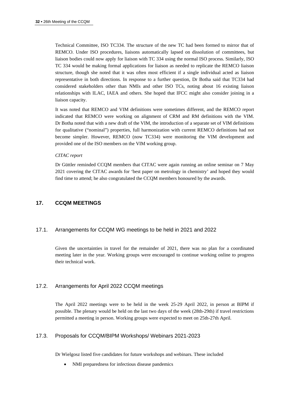Technical Committee, ISO TC334. The structure of the new TC had been formed to mirror that of REMCO. Under ISO procedures, liaisons automatically lapsed on dissolution of committees, but liaison bodies could now apply for liaison with TC 334 using the normal ISO process. Similarly, ISO TC 334 would be making formal applications for liaison as needed to replicate the REMCO liaison structure, though she noted that it was often most efficient if a single individual acted as liaison representative in both directions. In response to a further question, Dr Botha said that TC334 had considered stakeholders other than NMIs and other ISO TCs, noting about 16 existing liaison relationships with ILAC, IAEA and others. She hoped that IFCC might also consider joining in a liaison capacity.

It was noted that REMCO and VIM definitions were sometimes different, and the REMCO report indicated that REMCO were working on alignment of CRM and RM definitions with the VIM. Dr Botha noted that with a new draft of the VIM, the introduction of a separate set of VIM definitions for qualitative ("nominal") properties, full harmonization with current REMCO definitions had not become simpler. However, REMCO (now TC334) were monitoring the VIM development and provided one of the ISO members on the VIM working group.

#### *CITAC report*

Dr Güttler reminded CCQM members that CITAC were again running an online seminar on 7 May 2021 covering the CITAC awards for 'best paper on metrology in chemistry' and hoped they would find time to attend; he also congratulated the CCQM members honoured by the awards.

## **17. CCQM MEETINGS**

## 17.1. Arrangements for CCQM WG meetings to be held in 2021 and 2022

Given the uncertainties in travel for the remainder of 2021, there was no plan for a coordinated meeting later in the year. Working groups were encouraged to continue working online to progress their technical work.

## 17.2. Arrangements for April 2022 CCQM meetings

The April 2022 meetings were to be held in the week 25-29 April 2022, in person at BIPM if possible. The plenary would be held on the last two days of the week (28th-29th) if travel restrictions permitted a meeting in person. Working groups were expected to meet on 25th-27th April.

## 17.3. Proposals for CCQM/BIPM Workshops/ Webinars 2021-2023

Dr Wielgosz listed five candidates for future workshops and webinars. These included

NMI preparedness for infectious disease pandemics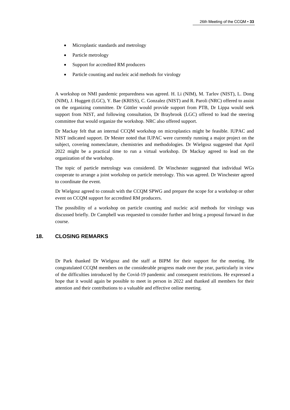- Microplastic standards and metrology
- Particle metrology
- Support for accredited RM producers
- Particle counting and nucleic acid methods for virology

A workshop on NMI pandemic preparedness was agreed. H. Li (NIM), M. Tarlov (NIST), L. Dong (NIM), J. Huggett (LGC), Y. Bae (KRISS), C. Gonzalez (NIST) and R. Paroli (NRC) offered to assist on the organizing committee. Dr Güttler would provide support from PTB, Dr Lippa would seek support from NIST, and following consultation, Dr Braybrook (LGC) offered to lead the steering committee that would organize the workshop. NRC also offered support.

Dr Mackay felt that an internal CCQM workshop on microplastics might be feasible. IUPAC and NIST indicated support. Dr Mester noted that IUPAC were currently running a major project on the subject, covering nomenclature, chemistries and methodologies. Dr Wielgosz suggested that April 2022 might be a practical time to run a virtual workshop. Dr Mackay agreed to lead on the organization of the workshop.

The topic of particle metrology was considered. Dr Winchester suggested that individual WGs cooperate to arrange a joint workshop on particle metrology. This was agreed. Dr Winchester agreed to coordinate the event.

Dr Wielgosz agreed to consult with the CCQM SPWG and prepare the scope for a workshop or other event on CCQM support for accredited RM producers.

The possibility of a workshop on particle counting and nucleic acid methods for virology was discussed briefly. Dr Campbell was requested to consider further and bring a proposal forward in due course.

## **18. CLOSING REMARKS**

Dr Park thanked Dr Wielgosz and the staff at BIPM for their support for the meeting. He congratulated CCQM members on the considerable progress made over the year, particularly in view of the difficulties introduced by the Covid-19 pandemic and consequent restrictions. He expressed a hope that it would again be possible to meet in person in 2022 and thanked all members for their attention and their contributions to a valuable and effective online meeting.